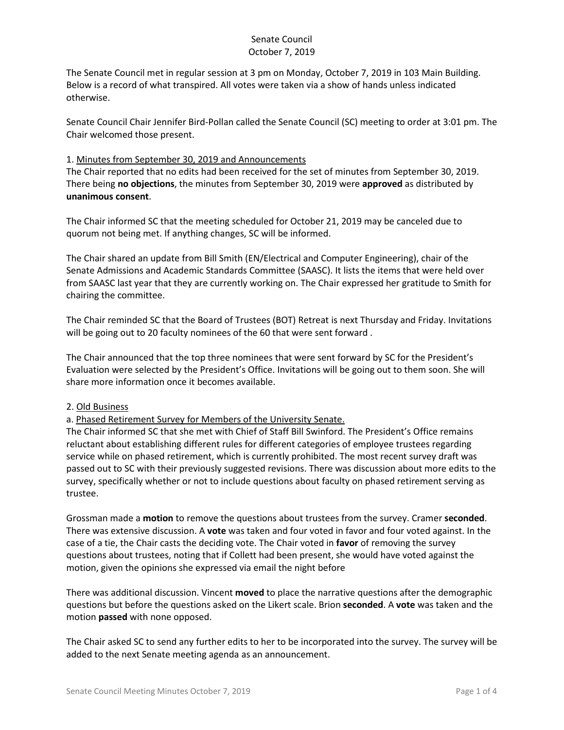The Senate Council met in regular session at 3 pm on Monday, October 7, 2019 in 103 Main Building. Below is a record of what transpired. All votes were taken via a show of hands unless indicated otherwise.

Senate Council Chair Jennifer Bird-Pollan called the Senate Council (SC) meeting to order at 3:01 pm. The Chair welcomed those present.

### 1. Minutes from September 30, 2019 and Announcements

The Chair reported that no edits had been received for the set of minutes from September 30, 2019. There being **no objections**, the minutes from September 30, 2019 were **approved** as distributed by **unanimous consent**.

The Chair informed SC that the meeting scheduled for October 21, 2019 may be canceled due to quorum not being met. If anything changes, SC will be informed.

The Chair shared an update from Bill Smith (EN/Electrical and Computer Engineering), chair of the Senate Admissions and Academic Standards Committee (SAASC). It lists the items that were held over from SAASC last year that they are currently working on. The Chair expressed her gratitude to Smith for chairing the committee.

The Chair reminded SC that the Board of Trustees (BOT) Retreat is next Thursday and Friday. Invitations will be going out to 20 faculty nominees of the 60 that were sent forward .

The Chair announced that the top three nominees that were sent forward by SC for the President's Evaluation were selected by the President's Office. Invitations will be going out to them soon. She will share more information once it becomes available.

### 2. Old Business

a. Phased Retirement Survey for Members of the University Senate.

The Chair informed SC that she met with Chief of Staff Bill Swinford. The President's Office remains reluctant about establishing different rules for different categories of employee trustees regarding service while on phased retirement, which is currently prohibited. The most recent survey draft was passed out to SC with their previously suggested revisions. There was discussion about more edits to the survey, specifically whether or not to include questions about faculty on phased retirement serving as trustee.

Grossman made a **motion** to remove the questions about trustees from the survey. Cramer **seconded**. There was extensive discussion. A **vote** was taken and four voted in favor and four voted against. In the case of a tie, the Chair casts the deciding vote. The Chair voted in **favor** of removing the survey questions about trustees, noting that if Collett had been present, she would have voted against the motion, given the opinions she expressed via email the night before

There was additional discussion. Vincent **moved** to place the narrative questions after the demographic questions but before the questions asked on the Likert scale. Brion **seconded**. A **vote** was taken and the motion **passed** with none opposed.

The Chair asked SC to send any further edits to her to be incorporated into the survey. The survey will be added to the next Senate meeting agenda as an announcement.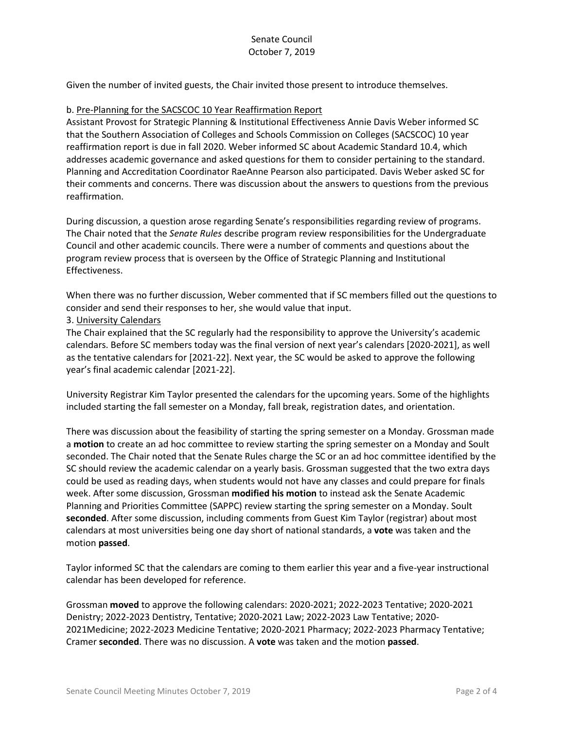Given the number of invited guests, the Chair invited those present to introduce themselves.

#### b. Pre-Planning for the SACSCOC 10 Year Reaffirmation Report

Assistant Provost for Strategic Planning & Institutional Effectiveness Annie Davis Weber informed SC that the Southern Association of Colleges and Schools Commission on Colleges (SACSCOC) 10 year reaffirmation report is due in fall 2020. Weber informed SC about Academic Standard 10.4, which addresses academic governance and asked questions for them to consider pertaining to the standard. Planning and Accreditation Coordinator RaeAnne Pearson also participated. Davis Weber asked SC for their comments and concerns. There was discussion about the answers to questions from the previous reaffirmation.

During discussion, a question arose regarding Senate's responsibilities regarding review of programs. The Chair noted that the *Senate Rules* describe program review responsibilities for the Undergraduate Council and other academic councils. There were a number of comments and questions about the program review process that is overseen by the Office of Strategic Planning and Institutional Effectiveness.

When there was no further discussion, Weber commented that if SC members filled out the questions to consider and send their responses to her, she would value that input.

### 3. University Calendars

The Chair explained that the SC regularly had the responsibility to approve the University's academic calendars. Before SC members today was the final version of next year's calendars [2020-2021], as well as the tentative calendars for [2021-22]. Next year, the SC would be asked to approve the following year's final academic calendar [2021-22].

University Registrar Kim Taylor presented the calendars for the upcoming years. Some of the highlights included starting the fall semester on a Monday, fall break, registration dates, and orientation.

There was discussion about the feasibility of starting the spring semester on a Monday. Grossman made a **motion** to create an ad hoc committee to review starting the spring semester on a Monday and Soult seconded. The Chair noted that the Senate Rules charge the SC or an ad hoc committee identified by the SC should review the academic calendar on a yearly basis. Grossman suggested that the two extra days could be used as reading days, when students would not have any classes and could prepare for finals week. After some discussion, Grossman **modified his motion** to instead ask the Senate Academic Planning and Priorities Committee (SAPPC) review starting the spring semester on a Monday. Soult **seconded**. After some discussion, including comments from Guest Kim Taylor (registrar) about most calendars at most universities being one day short of national standards, a **vote** was taken and the motion **passed**.

Taylor informed SC that the calendars are coming to them earlier this year and a five-year instructional calendar has been developed for reference.

Grossman **moved** to approve the following calendars: 2020-2021; 2022-2023 Tentative; 2020-2021 Denistry; 2022-2023 Dentistry, Tentative; 2020-2021 Law; 2022-2023 Law Tentative; 2020- 2021Medicine; 2022-2023 Medicine Tentative; 2020-2021 Pharmacy; 2022-2023 Pharmacy Tentative; Cramer **seconded**. There was no discussion. A **vote** was taken and the motion **passed**.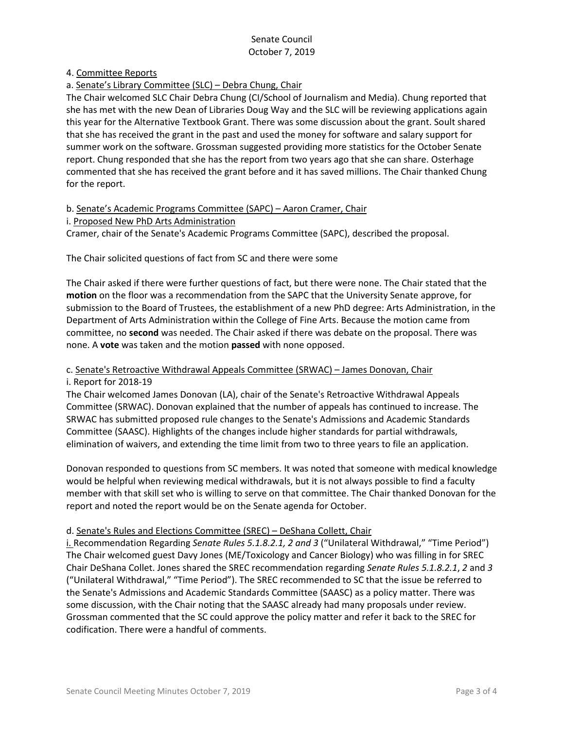4. Committee Reports

a. Senate's Library Committee (SLC) – Debra Chung, Chair

The Chair welcomed SLC Chair Debra Chung (CI/School of Journalism and Media). Chung reported that she has met with the new Dean of Libraries Doug Way and the SLC will be reviewing applications again this year for the Alternative Textbook Grant. There was some discussion about the grant. Soult shared that she has received the grant in the past and used the money for software and salary support for summer work on the software. Grossman suggested providing more statistics for the October Senate report. Chung responded that she has the report from two years ago that she can share. Osterhage commented that she has received the grant before and it has saved millions. The Chair thanked Chung for the report.

b. Senate's Academic Programs Committee (SAPC) – Aaron Cramer, Chair i. Proposed New PhD Arts Administration Cramer, chair of the Senate's Academic Programs Committee (SAPC), described the proposal.

The Chair solicited questions of fact from SC and there were some

The Chair asked if there were further questions of fact, but there were none. The Chair stated that the **motion** on the floor was a recommendation from the SAPC that the University Senate approve, for submission to the Board of Trustees, the establishment of a new PhD degree: Arts Administration, in the Department of Arts Administration within the College of Fine Arts. Because the motion came from committee, no **second** was needed. The Chair asked if there was debate on the proposal. There was none. A **vote** was taken and the motion **passed** with none opposed.

### c. Senate's Retroactive Withdrawal Appeals Committee (SRWAC) – James Donovan, Chair i. Report for 2018-19

The Chair welcomed James Donovan (LA), chair of the Senate's Retroactive Withdrawal Appeals Committee (SRWAC). Donovan explained that the number of appeals has continued to increase. The SRWAC has submitted proposed rule changes to the Senate's Admissions and Academic Standards Committee (SAASC). Highlights of the changes include higher standards for partial withdrawals, elimination of waivers, and extending the time limit from two to three years to file an application.

Donovan responded to questions from SC members. It was noted that someone with medical knowledge would be helpful when reviewing medical withdrawals, but it is not always possible to find a faculty member with that skill set who is willing to serve on that committee. The Chair thanked Donovan for the report and noted the report would be on the Senate agenda for October.

### d. Senate's Rules and Elections Committee (SREC) – DeShana Collett, Chair

i. Recommendation Regarding *Senate Rules 5.1.8.2.1, 2 and 3* ("Unilateral Withdrawal," "Time Period") The Chair welcomed guest Davy Jones (ME/Toxicology and Cancer Biology) who was filling in for SREC Chair DeShana Collet. Jones shared the SREC recommendation regarding *Senate Rules 5.1.8.2.1*, *2* and *3* ("Unilateral Withdrawal," "Time Period"). The SREC recommended to SC that the issue be referred to the Senate's Admissions and Academic Standards Committee (SAASC) as a policy matter. There was some discussion, with the Chair noting that the SAASC already had many proposals under review. Grossman commented that the SC could approve the policy matter and refer it back to the SREC for codification. There were a handful of comments.